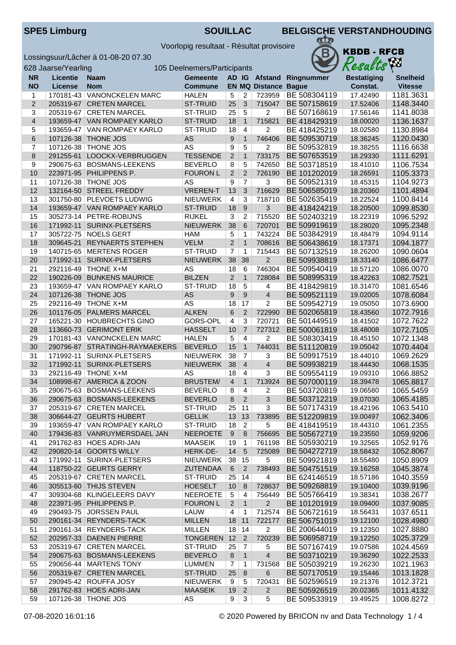Voorlopig resultaat - Résultat provisoire



| 628 Jaarse/Yearling<br>105 Deelnemers/Participants |                 |                                                          |                                    |                      |                 |                             |                              | Results              | hm.                    |
|----------------------------------------------------|-----------------|----------------------------------------------------------|------------------------------------|----------------------|-----------------|-----------------------------|------------------------------|----------------------|------------------------|
| <b>NR</b>                                          | <b>Licentie</b> | <b>Naam</b>                                              | <b>Gemeente</b>                    |                      |                 |                             | AD IG Afstand Ringnummer     | <b>Bestatiging</b>   | <b>Snelheid</b>        |
| <b>NO</b>                                          | License         | <b>Nom</b>                                               | Commune                            |                      |                 | <b>EN MQ Distance Bague</b> |                              | Constat.             | <b>Vitesse</b>         |
| 1                                                  | 170181-43       | <b>VANONCKELEN MARC</b>                                  | <b>HALEN</b>                       | 5                    | 2               | 723959                      | BE 508304119                 | 17.42490             | 1181.3631              |
| $\overline{2}$                                     |                 | 205319-67 CRETEN MARCEL                                  | ST-TRUID                           | 25                   | 3               | 715047                      | BE 507158619                 | 17.52406             | 1148.3440              |
| 3                                                  |                 | 205319-67 CRETEN MARCEL                                  | ST-TRUID                           | 25                   | $5\overline{5}$ | $\overline{2}$              | BE 507168619                 | 17.56146             | 1141.8038              |
| $\overline{4}$                                     |                 | 193659-47 VAN ROMPAEY KARLO                              | <b>ST-TRUID</b>                    | 18                   | $\mathbf{1}$    | 715821                      | BE 418429319                 | 18.00020             | 1136.1637              |
| 5                                                  | 193659-47       | <b>VAN ROMPAEY KARLO</b>                                 | <b>ST-TRUID</b>                    | 18                   | 4               | 2                           | BE 418425219                 | 18.02580             | 1130.8984              |
| $\,6$                                              | 107126-38       | <b>THONE JOS</b>                                         | AS                                 | 9                    | $\mathbf{1}$    | 746406                      | BE 509530719                 | 18.36245             | 1120.0430              |
| 7                                                  |                 | 107126-38 THONE JOS                                      | AS                                 | 9                    | 5               | $\overline{c}$              | BE 509532819                 | 18.38255             | 1116.6638              |
| 8                                                  | 291255-61       | LOOCKX-VERBRUGGEN                                        | <b>TESSENDE</b>                    | 2                    | $\mathbf{1}$    | 733175                      | BE 507653519                 | 18.29330             | 1111.6291              |
| 9                                                  |                 | 290675-63 BOSMANS-LEEKENS                                | <b>BEVERLO</b>                     | 8                    | 5               | 742650                      | BE 503718519                 | 18.41010             | 1106.7534              |
| 10                                                 |                 | 223971-95 PHILIPPENS P.                                  | <b>FOURON L</b>                    | $\overline{2}$       | $\overline{2}$  | 726190                      | BE 101202019                 | 18.26591             | 1105.3373              |
| 11                                                 |                 | 107126-38   THONE JOS                                    | AS                                 | 9                    | $\overline{7}$  | 3                           | BE 509521319                 | 18.45315             | 1104.9273              |
| 12                                                 | 132164-50       | <b>STREEL FREDDY</b>                                     | <b>VREREN-T</b>                    | 13<br>$\overline{4}$ | 3               | 716629                      | BE 506585019                 | 18.20360             | 1101.4894              |
| 13<br>14                                           |                 | 301750-80 PLEVOETS LUDWIG<br>193659-47 VAN ROMPAEY KARLO | <b>NIEUWERK</b><br><b>ST-TRUID</b> | 18                   | 3<br>$9\,$      | 718710<br>3                 | BE 502635419<br>BE 418424219 | 18.22524<br>18.20500 | 1100.8414<br>1099.8530 |
| 15                                                 |                 | 305273-14   PETRE-ROBIJNS                                | <b>RIJKEL</b>                      | $\overline{3}$       | 2               | 715520                      | BE 502403219                 | 18.22319             | 1096.5292              |
| 16                                                 | 171992-11       | <b>SURINX-PLETSERS</b>                                   | <b>NIEUWERK</b>                    | 38                   | 6               | 720701                      | BE 509919619                 | 18.28020             | 1095.2348              |
| 17                                                 |                 | 305722-75 NOELS GERT                                     | <b>HAM</b>                         | 5                    | $\mathbf{1}$    | 743224                      | BE 503842919                 | 18.48479             | 1094.9114              |
| 18                                                 | 309645-21       | <b>REYNAERTS STEPHEN</b>                                 | <b>VELM</b>                        | $\overline{c}$       | $\mathbf{1}$    | 708616                      | BE 506438619                 | 18.17371             | 1094.1877              |
| 19                                                 |                 | 140715-65 MERTENS ROGER                                  | ST-TRUID                           | $\overline{7}$       | $\mathbf{1}$    | 715443                      | BE 507132519                 | 18.26200             | 1090.0604              |
| 20                                                 | 171992-11       | SURINX-PLETSERS                                          | <b>NIEUWERK</b>                    | 38                   | 38              | $\overline{2}$              | BE 509938819                 | 18.33140             | 1086.6477              |
| 21                                                 |                 | 292116-49 THONE X+M                                      | <b>AS</b>                          | 18                   | 6               | 746304                      | BE 509540419                 | 18.57120             | 1086.0070              |
| 22                                                 | 190226-09       | <b>BUNKENS MAURICE</b>                                   | <b>BILZEN</b>                      | 2                    | $\mathbf{1}$    | 728084                      | BE 508995319                 | 18.42263             | 1082.7521              |
| 23                                                 | 193659-47       | <b>VAN ROMPAEY KARLO</b>                                 | <b>ST-TRUID</b>                    | 18                   | $\overline{5}$  | 4                           | BE 418429819                 | 18.31470             | 1081.6546              |
| 24                                                 | 107126-38       | THONE JOS                                                | AS                                 | 9                    | $\overline{9}$  | $\overline{4}$              | BE 509521119                 | 19.02005             | 1078.6084              |
| 25                                                 | 292116-49       | <b>THONE X+M</b>                                         | AS                                 | 18                   | 17              | 2                           | BE 509542719                 | 19.05050             | 1073.6900              |
| 26                                                 | 101176-05       | <b>PALMERS MARCEL</b>                                    | <b>ALKEN</b>                       | 6                    | 2               | 722990                      | BE 502065819                 | 18.43560             | 1072.7916              |
| 27                                                 |                 | 165221-30 HOUBRECHTS GINO                                | GORS-OPL                           | 4                    | 3               | 720721                      | BE 501449519                 | 18.41502             | 1072.7622              |
| 28                                                 | 113660-73       | <b>GERIMONT ERIK</b>                                     | <b>HASSELT</b>                     | 10                   | $\overline{7}$  | 727312                      | BE 500061819                 | 18.48008             | 1072.7105              |
| 29                                                 |                 | 170181-43 VANONCKELEN MARC                               | <b>HALEN</b>                       | 5                    | $\overline{4}$  | 2                           | BE 508303419                 | 18.45150             | 1072.1348              |
| 30                                                 |                 | 290796-87 STRATINGH-RAYMAEKERS                           | <b>BEVERLO</b>                     | 15                   | $\mathbf{1}$    | 744031                      | BE 511120819                 | 19.05042             | 1070.4404              |
| 31                                                 | 171992-11       | SURINX-PLETSERS                                          | NIEUWERK                           | 38                   | $\overline{7}$  | 3                           | BE 509917519                 | 18.44010             | 1069.2629              |
| 32                                                 | 171992-11       | SURINX-PLETSERS                                          | <b>NIEUWERK</b>                    | 38                   | $\overline{4}$  | $\overline{4}$              | BE 509938219                 | 18.44430             | 1068.1535              |
| 33                                                 |                 | 292116-49 THONE X+M                                      | AS                                 | 18                   | 4               | 3                           | BE 509554119                 | 19.09310             | 1066.8852              |
| 34                                                 | 108998-67       | AMERICA & ZOON                                           | <b>BRUSTEM/</b>                    | $\overline{4}$       | $\mathbf{1}$    | 713924                      | BE 507000119                 | 18.39478             | 1065.8817              |
| 35                                                 |                 | 290675-63 BOSMANS-LEEKENS                                | <b>BEVERLO</b>                     | 8                    | $\overline{4}$  | 2                           | BE 503720819                 | 19.06580             | 1065.5459              |
| 36                                                 |                 | 290675-63 BOSMANS-LEEKENS                                | <b>BEVERLO</b>                     | 8                    | 2               | 3                           | BE 503712219                 | 19.07030             | 1065.4185              |
| 37                                                 |                 | 205319-67   CRETEN MARCEL                                | ST-TRUID                           | 25   11              |                 | 3                           | BE 507174319                 | 18.42196             | 1063.5410              |
| 38                                                 |                 | 306644-27 GEURTS HUBERT                                  | <b>GELLIK</b>                      | 13                   | 13              | 733895                      | BE 512209819                 | 19.00497             | 1062.3406              |
| 39                                                 |                 | 193659-47 VAN ROMPAEY KARLO                              | ST-TRUID                           | 18                   | $\overline{2}$  | 5                           | BE 418419519                 | 18.44310             | 1061.2355              |
| 40                                                 |                 | 179436-83 VANRUYMERSDAEL JAN                             | <b>NEEROETE</b>                    | $9\,$                | 8               | 756695                      | BE 505672719                 | 19.23550             | 1059.9206              |
| 41                                                 |                 | 291762-83 HOES ADRI-JAN                                  | <b>MAASEIK</b>                     | 19                   | $\overline{1}$  | 761198                      | BE 505930219                 | 19.32565             | 1052.9176              |
| 42                                                 |                 | 290820-14 GOORTS WILLY                                   | HERK-DE-                           | 14                   | 5               | 725089                      | BE 504272719                 | 18.58432             | 1052.8067              |
| 43                                                 |                 | 171992-11 SURINX-PLETSERS                                | NIEUWERK                           | 38                   | 15              | 5                           | BE 509921819                 | 18.55480             | 1050.8909              |
| 44                                                 |                 | 118750-22 GEURTS GERRY                                   | <b>ZUTENDAA</b>                    | $6\phantom{1}6$      | $\overline{2}$  | 738493                      | BE 504751519                 | 19.16258             | 1045.3874              |
| 45                                                 |                 | 205319-67 CRETEN MARCEL                                  | ST-TRUID                           | 25                   | 14              | 4                           | BE 624146519                 | 18.57186             | 1040.3559              |
| 46                                                 |                 | 305513-60 THIJS STEVEN                                   | <b>HOESELT</b>                     | 10                   | 8               | 728637                      | BE 509268819                 | 19.10400             | 1039.9196              |
| 47                                                 |                 | 309304-68 KLINGELEERS DAVY                               | <b>NEEROETE</b>                    | 5                    | 4               | 756449                      | BE 505766419                 | 19.38341             | 1038.2677              |
| 48                                                 |                 | 223971-95 PHILIPPENS P.                                  | <b>FOURON L</b>                    | $\overline{2}$       | $\overline{1}$  | $\overline{2}$              | BE 101201919                 | 19.09400             | 1037.9085              |
| 49                                                 |                 | 290493-75 JORSSEN PAUL                                   | LAUW                               | 4                    | $\mathbf{1}$    | 712574                      | BE 506721619                 | 18.56431             | 1037.6511              |
| 50                                                 |                 | 290161-34 REYNDERS-TACK                                  | <b>MILLEN</b>                      | 18                   | 11              | 722177                      | BE 506751019                 | 19.12100             | 1028.4980              |
| 51                                                 |                 | 290161-34 REYNDERS-TACK                                  | <b>MILLEN</b>                      | 18                   | 14              | $\overline{2}$              | BE 200644019                 | 19.12350             | 1027.8880              |
| 52                                                 |                 | 202957-33 DAENEN PIERRE                                  | <b>TONGEREN</b>                    | 12                   | $\overline{2}$  | 720239                      | BE 506958719                 | 19.12250             | 1025.3729              |
| 53                                                 |                 | 205319-67 CRETEN MARCEL                                  | ST-TRUID                           | 25                   | 7               | 5                           | BE 507167419                 | 19.07586             | 1024.4569              |
| 54                                                 |                 | 290675-63 BOSMANS-LEEKENS                                | <b>BEVERLO</b>                     | 8                    | $\mathbf{1}$    | $\overline{4}$              | BE 503710219                 | 19.36290             | 1022.2533              |
| 55                                                 |                 | 290656-44   MARTENS TONY                                 | <b>LUMMEN</b>                      | 7                    | 1               | 731568                      | BE 505039219                 | 19.26230             | 1021.1963              |
| 56                                                 |                 | 205319-67 CRETEN MARCEL                                  | ST-TRUID                           | 25                   | $\, 8$          | 6                           | BE 507170519                 | 19.15446             | 1013.1828              |
| 57                                                 |                 | 290945-42 ROUFFA JOSY                                    | NIEUWERK                           | 9                    | 5               | 720431                      | BE 502596519                 | 19.21376             | 1012.3721              |
| 58                                                 |                 | 291762-83 HOES ADRI-JAN                                  | <b>MAASEIK</b>                     | 19                   | $\overline{2}$  | $\overline{2}$              | BE 505926519                 | 20.02365             | 1011.4132              |
| 59                                                 |                 | 107126-38 THONE JOS                                      | AS                                 | 9                    | 3               | 5                           | BE 509533919                 | 19.49525             | 1008.8272              |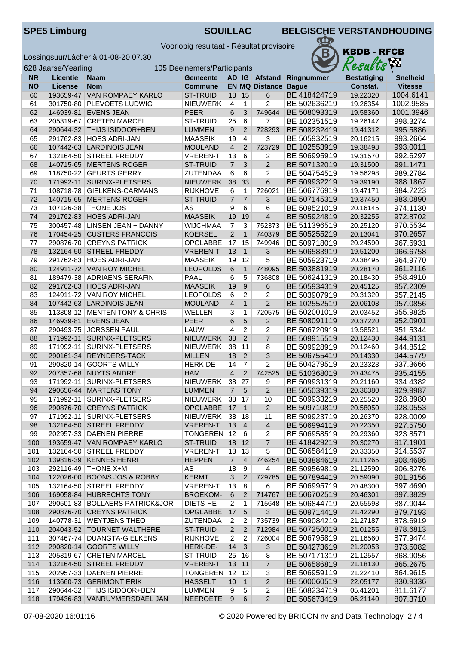Voorlopig resultaat - Résultat provisoire



|           | 628 Jaarse/Yearling |                                | 105 Deelnemers/Participants |                |                |                             | <b>A</b> n<br>Results    |                    |                 |
|-----------|---------------------|--------------------------------|-----------------------------|----------------|----------------|-----------------------------|--------------------------|--------------------|-----------------|
| <b>NR</b> | Licentie            | <b>Naam</b>                    | <b>Gemeente</b>             |                |                |                             | AD IG Afstand Ringnummer | <b>Bestatiging</b> | <b>Snelheid</b> |
| <b>NO</b> | License             | <b>Nom</b>                     | <b>Commune</b>              |                |                | <b>EN MQ Distance Bague</b> |                          | Constat.           | <b>Vitesse</b>  |
| 60        |                     | 193659-47 VAN ROMPAEY KARLO    | <b>ST-TRUID</b>             | 18             | 15             | 6                           | BE 418424719             | 19.22320           | 1004.6141       |
| 61        |                     | 301750-80 PLEVOETS LUDWIG      | <b>NIEUWERK</b>             | 4              | $\mathbf{1}$   | 2                           | BE 502636219             | 19.26354           | 1002.9585       |
| 62        |                     | 146939-81 EVENS JEAN           | <b>PEER</b>                 | 6              | 3              | 749644                      | BE 508093319             | 19.58360           | 1001.3946       |
| 63        |                     | 205319-67 CRETEN MARCEL        | ST-TRUID                    | 25             | $\,6$          | $\overline{7}$              | BE 102351519             | 19.26147           | 998.3274        |
| 64        |                     | 290644-32 THIJS ISIDOOR+BEN    | <b>LUMMEN</b>               | $9\,$          | $\overline{2}$ | 728293                      | BE 508232419             | 19.41312           | 995.5886        |
| 65        |                     | 291762-83 HOES ADRI-JAN        | <b>MAASEIK</b>              | 19             | $\overline{4}$ | $\overline{3}$              | BE 505932519             | 20.16215           | 993.2664        |
| 66        |                     | 107442-63 LARDINOIS JEAN       | <b>MOULAND</b>              | $\overline{4}$ | $\overline{2}$ | 723729                      | BE 102553919             | 19.38498           | 993.0011        |
| 67        |                     | 132164-50 STREEL FREDDY        | <b>VREREN-T</b>             | 13             | 6              | 2                           | BE 506995919             | 19.31570           | 992.6297        |
| 68        | 140715-65           | <b>MERTENS ROGER</b>           | <b>ST-TRUID</b>             | $\overline{7}$ | 3              | $\overline{2}$              | BE 507132019             | 19.31500           | 991.1471        |
| 69        |                     | 118750-22 GEURTS GERRY         | <b>ZUTENDAA</b>             | 6              | 6              | $\overline{c}$              | BE 504754519             | 19.56298           | 989.2784        |
| 70        | 171992-11           | SURINX-PLETSERS                | <b>NIEUWERK</b>             | 38             | 33             | $6\phantom{1}$              | BE 509932219             | 19.39190           | 988.1867        |
| 71        |                     | 108718-78 GIELKENS-CARMANS     | <b>RIJKHOVE</b>             | 6              | $\mathbf{1}$   | 726021                      | BE 506776919             | 19.47171           | 984.7223        |
| 72        | 140715-65           | <b>MERTENS ROGER</b>           | <b>ST-TRUID</b>             | $\overline{7}$ | $\overline{7}$ | 3                           | BE 507145319             | 19.37450           | 983.0890        |
| 73        |                     | 107126-38   THONE JOS          | <b>AS</b>                   | 9              | 6              | 6                           | BE 509521019             | 20.16145           | 974.1130        |
| 74        | 291762-83           | <b>HOES ADRI-JAN</b>           | <b>MAASEIK</b>              | 19             | 19             | $\overline{4}$              | BE 505924819             | 20.32255           | 972.8702        |
| 75        |                     | 300457-48 LINSEN JEAN + DANNY  | <b>WIJCHMAA</b>             | $\overline{7}$ | 3              | 752373                      | BE 511396519             | 20.25120           | 970.5534        |
| 76        |                     | 170454-25 CUSTERS FRANCOIS     | <b>KOERSEL</b>              | 2              | $\mathbf{1}$   | 740379                      | BE 505255219             | 20.13041           | 970.2657        |
| 77        |                     | 290876-70 CREYNS PATRICK       | <b>OPGLABBE</b>             | 17             | 15             | 749946                      | BE 509718019             | 20.24590           | 967.6931        |
| 78        |                     | 132164-50 STREEL FREDDY        | <b>VREREN-T</b>             | 13             | $\mathbf{1}$   | 3                           | BE 506583919             | 19.51200           | 966.6758        |
| 79        |                     | 291762-83 HOES ADRI-JAN        | <b>MAASEIK</b>              | 19             | 12             | 5                           | BE 505923719             | 20.38495           | 964.9770        |
| 80        |                     | 124911-72 VAN ROY MICHEL       | <b>LEOPOLDS</b>             | 6              | $\mathbf{1}$   | 748095                      | BE 503881919             | 20.28170           | 961.2116        |
| 81        |                     | 189479-38 ADRIAENS SERAFIN     | PAAL                        | 6              | 5              | 736808                      | BE 506241319             | 20.18430           | 958.4910        |
| 82        |                     | 291762-83 HOES ADRI-JAN        | <b>MAASEIK</b>              | 19             | 9              | 6                           | BE 505934319             | 20.45125           | 957.2309        |
| 83        |                     | 124911-72 VAN ROY MICHEL       | <b>LEOPOLDS</b>             | 6              | $\overline{c}$ | $\overline{c}$              | BE 503907919             | 20.31320           | 957.2145        |
| 84        |                     | 107442-63 LARDINOIS JEAN       | <b>MOULAND</b>              | $\overline{4}$ | $\mathbf{1}$   | $\overline{2}$              | BE 102552519             | 20.06108           | 957.0856        |
| 85        |                     | 113308-12 MENTEN TONY & CHRIS  | <b>WELLEN</b>               | 3              | 1              | 720575                      | BE 502001019             | 20.03452           | 955.9825        |
| 86        | 146939-81           | <b>EVENS JEAN</b>              | <b>PEER</b>                 | 6              | 5              | $\overline{2}$              | BE 508091119             | 20.37220           | 952.0901        |
| 87        | 290493-75           | <b>JORSSEN PAUL</b>            | LAUW                        | 4              | $\overline{c}$ | 2                           | BE 506720919             | 19.58521           | 951.5344        |
| 88        | 171992-11           | SURINX-PLETSERS                | <b>NIEUWERK</b>             | 38             | $\overline{2}$ | $\overline{7}$              | BE 509915519             | 20.12430           | 944.9131        |
| 89        | 171992-11           | SURINX-PLETSERS                | <b>NIEUWERK</b>             | 38             | 11             | 8                           | BE 509928919             | 20.12460           | 944.8512        |
| 90        |                     | 290161-34 REYNDERS-TACK        | <b>MILLEN</b>               | 18             | $\overline{2}$ | 3                           | BE 506755419             | 20.14330           | 944.5779        |
| 91        |                     | 290820-14 GOORTS WILLY         | HERK-DE-                    | 14             | $\overline{7}$ | $\overline{c}$              | BE 504279519             | 20.23323           | 937.3666        |
| 92        |                     | 207357-68 NUYTS ANDRE          | <b>HAM</b>                  | $\overline{4}$ | $\overline{2}$ | 742525                      | BE 510368019             | 20.43475           | 935.4155        |
| 93        | 171992-11           | SURINX-PLETSERS                | <b>NIEUWERK</b>             | 38             | 27             | 9                           | BE 509931319             | 20.21160           | 934.4382        |
| 94        | 290656-44           | <b>MARTENS TONY</b>            | <b>LUMMEN</b>               | $\overline{7}$ | 5              | $\overline{2}$              | BE 505039319             | 20.36380           | 929.9987        |
| 95        |                     | 171992-11   SURINX-PLETSERS    | NIEUWERK                    | 38 17          |                | 10                          | BE 509933219             | 20.25520           | 928.8980        |
| 96        |                     | 290876-70 CREYNS PATRICK       | <b>OPGLABBE</b>             | $\vert$ 17     | $\overline{1}$ | 2                           | BE 509710819             | 20.58050           | 928.0553        |
| 97        |                     | 171992-11 SURINX-PLETSERS      | NIEUWERK                    | 38             | 18             | 11                          | BE 509923719             | 20.26370           | 928.0009        |
| 98        |                     | 132164-50 STREEL FREDDY        | <b>VREREN-T</b>             | $13 \mid 4$    |                | $\overline{4}$              | BE 506994119             | 20.22350           | 927.5750        |
| 99        |                     | 202957-33 DAENEN PIERRE        | TONGEREN 12                 |                | 6              | $\overline{2}$              | BE 506958519             | 20.29360           | 923.8571        |
| 100       |                     | 193659-47 VAN ROMPAEY KARLO    | <b>ST-TRUID</b>             | 18             | 12             | $\overline{7}$              | BE 418429219             | 20.30270           | 917.1901        |
| 101       |                     | 132164-50 STREEL FREDDY        | <b>VREREN-T</b>             | 13             | 13             | 5                           | BE 506584119             | 20.33350           | 914.5537        |
| 102       |                     | 139816-39 KENNES HENRI         | <b>HEPPEN</b>               | $\overline{7}$ | $\overline{4}$ | 746254                      | BE 503884619             | 21.11265           | 908.4686        |
| 103       |                     | 292116-49 THONE X+M            | AS                          | 18             | 9              | 4                           | BE 509569819             | 21.12590           | 906.8276        |
| 104       |                     | 122026-00 BOONS JOS & ROBBY    | <b>KERMT</b>                | 3              | $\overline{2}$ | 729785                      | BE 507894419             | 20.59090           | 901.9156        |
| 105       |                     | 132164-50 STREEL FREDDY        | <b>VREREN-T</b>             | 13             | 8              | 6                           | BE 506995719             | 20.48300           | 897.4690        |
| 106       |                     | 169058-84 HUBRECHTS TONY       | <b>BROEKOM-</b>             | $\,6\,$        | $\overline{2}$ | 714767                      | BE 506702519             | 20.46301           | 897.3829        |
| 107       |                     | 290501-83 BOLLAERS PATRICK&JOR | DIETS-HE                    | $\overline{2}$ | $\mathbf{1}$   | 715648                      | BE 506844719             | 20.55598           | 887.9044        |
| 108       |                     | 290876-70 CREYNS PATRICK       | <b>OPGLABBE</b>             | 17             | $\overline{5}$ | 3                           | BE 509714419             | 21.42290           | 879.7193        |
| 109       |                     | 140778-31 WEYTJENS THEO        | <b>ZUTENDAA</b>             | $\overline{2}$ | 2              | 735739                      | BE 509084219             | 21.27187           | 878.6919        |
| 110       |                     | 204043-52 TOURNET WALTHERE     | ST-TRUID                    | 2              | $\overline{2}$ | 712984                      | BE 507250019             | 21.01255           | 878.6813        |
| 111       |                     | 307467-74   DUANGTA-GIELKENS   | <b>RIJKHOVE</b>             | 2              | 2              | 726004                      | BE 506795819             | 21.16560           | 877.9474        |
| 112       |                     | 290820-14 GOORTS WILLY         | HERK-DE-                    | 14             | 3              | $\mathfrak{S}$              | BE 504273619             | 21.20053           | 873.5082        |
| 113       |                     | 205319-67 CRETEN MARCEL        | ST-TRUID                    | 25             | 16             | 8                           | BE 507171319             | 21.12557           | 868.9056        |
| 114       |                     | 132164-50 STREEL FREDDY        | <b>VREREN-T</b>             | 13             | 11             | $\overline{7}$              | BE 506586819             | 21.18130           | 865.2675        |
| 115       |                     | 202957-33 DAENEN PIERRE        | TONGEREN                    | 12             | 12             | 3                           | BE 506959119             | 21.22410           | 864.9615        |
| 116       |                     | 113660-73 GERIMONT ERIK        | <b>HASSELT</b>              | 10             | $\overline{1}$ | $\overline{c}$              | BE 500060519             | 22.05177           | 830.9336        |
| 117       |                     | 290644-32 THIJS ISIDOOR+BEN    | <b>LUMMEN</b>               | 9              | 5              | 2                           | BE 508234719             | 05.41201           | 811.6177        |
| 118       |                     | 179436-83 VANRUYMERSDAEL JAN   | <b>NEEROETE</b>             | 9              | 6              | $\overline{2}$              | BE 505673419             | 06.21140           | 807.3710        |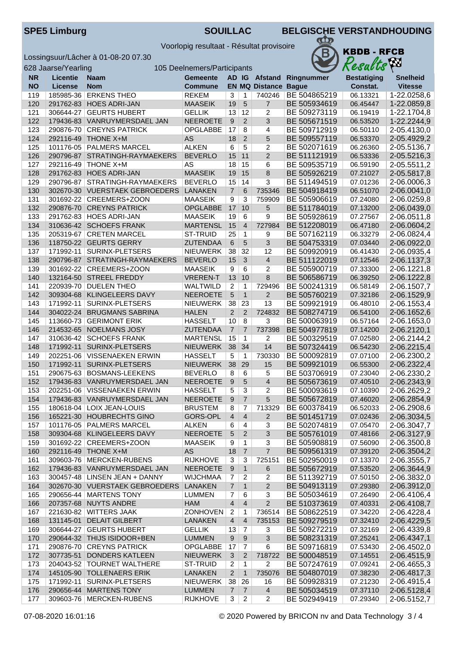**KBDB - RFCB** 

 $\pi$ B

Voorlopig resultaat - Résultat provisoire